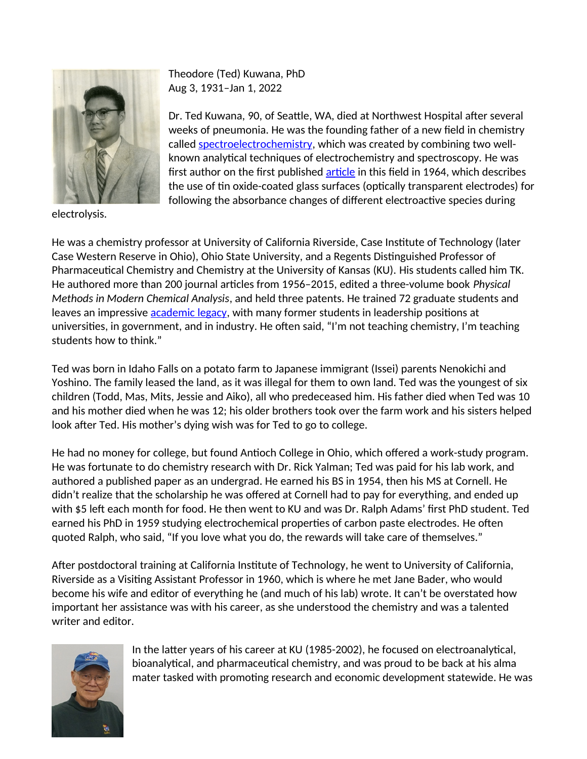

Theodore (Ted) Kuwana, PhD Aug 3, 1931–Jan 1, 2022

Dr. Ted Kuwana, 90, of Seattle, WA, died at Northwest Hospital after several weeks of pneumonia. He was the founding father of a new field in chemistry called [spectroelectrochemistry](https://www.linkedin.com/pulse/spectroelectrochemistry-shedding-light-unknown-alyson-lanciki-ph-d-/?trk=articles_directory), which was created by combining two wellknown analytical techniques of electrochemistry and spectroscopy. He was first author on the first published [article](https://doi.org/10.1021/ac60216a003) in this field in 1964, which describes the use of tin oxide-coated glass surfaces (optically transparent electrodes) for following the absorbance changes of different electroactive species during

electrolysis.

He was a chemistry professor at University of California Riverside, Case Institute of Technology (later Case Western Reserve in Ohio), Ohio State University, and a Regents Distinguished Professor of Pharmaceutical Chemistry and Chemistry at the University of Kansas (KU). His students called him TK. He authored more than 200 journal articles from 1956–2015, edited a three-volume book *Physical Methods in Modern Chemical Analysis*, and held three patents. He trained 72 graduate students and leaves an impressive [academic legacy,](https://academictree.org/chemistry/tree.php?pid=68694) with many former students in leadership positions at universities, in government, and in industry. He often said, "I'm not teaching chemistry, I'm teaching students how to think."

Ted was born in Idaho Falls on a potato farm to Japanese immigrant (Issei) parents Nenokichi and Yoshino. The family leased the land, as it was illegal for them to own land. Ted was the youngest of six children (Todd, Mas, Mits, Jessie and Aiko), all who predeceased him. His father died when Ted was 10 and his mother died when he was 12; his older brothers took over the farm work and his sisters helped look after Ted. His mother's dying wish was for Ted to go to college.

He had no money for college, but found Antioch College in Ohio, which offered a work-study program. He was fortunate to do chemistry research with Dr. Rick Yalman; Ted was paid for his lab work, and authored a published paper as an undergrad. He earned his BS in 1954, then his MS at Cornell. He didn't realize that the scholarship he was offered at Cornell had to pay for everything, and ended up with \$5 left each month for food. He then went to KU and was Dr. Ralph Adams' first PhD student. Ted earned his PhD in 1959 studying electrochemical properties of carbon paste electrodes. He often quoted Ralph, who said, "If you love what you do, the rewards will take care of themselves."

After postdoctoral training at California Institute of Technology, he went to University of California, Riverside as a Visiting Assistant Professor in 1960, which is where he met Jane Bader, who would become his wife and editor of everything he (and much of his lab) wrote. It can't be overstated how important her assistance was with his career, as she understood the chemistry and was a talented writer and editor.



In the latter years of his career at KU (1985-2002), he focused on electroanalytical, bioanalytical, and pharmaceutical chemistry, and was proud to be back at his alma mater tasked with promoting research and economic development statewide. He was